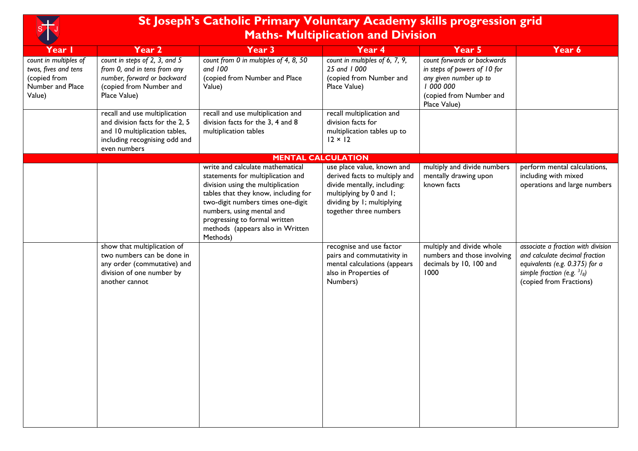| <b>Service Service</b> |
|------------------------|
|                        |

## **St Joseph's Catholic Primary Voluntary Academy skills progression grid Maths- Multiplication and Division**

| Year I                                                                                      | Year 2                                                                                                                                             | Year <sub>3</sub>                                                                                                                                                                                                                                                                                     | Year 4                                                                                                                                                                        | Year 5                                                                                                                                      | Year 6                                                                                                                                                             |
|---------------------------------------------------------------------------------------------|----------------------------------------------------------------------------------------------------------------------------------------------------|-------------------------------------------------------------------------------------------------------------------------------------------------------------------------------------------------------------------------------------------------------------------------------------------------------|-------------------------------------------------------------------------------------------------------------------------------------------------------------------------------|---------------------------------------------------------------------------------------------------------------------------------------------|--------------------------------------------------------------------------------------------------------------------------------------------------------------------|
| count in multiples of<br>twos, fives and tens<br>(copied from<br>Number and Place<br>Value) | count in steps of 2, 3, and 5<br>from 0, and in tens from any<br>number, forward or backward<br>(copied from Number and<br>Place Value)            | count from 0 in multiples of 4, 8, 50<br>and $100$<br>(copied from Number and Place<br>Value)                                                                                                                                                                                                         | count in multiples of 6, 7, 9,<br>25 and 1000<br>(copied from Number and<br>Place Value)                                                                                      | count forwards or backwards<br>in steps of powers of 10 for<br>any given number up to<br>1000000<br>(copied from Number and<br>Place Value) |                                                                                                                                                                    |
|                                                                                             | recall and use multiplication<br>and division facts for the 2, 5<br>and 10 multiplication tables,<br>including recognising odd and<br>even numbers | recall and use multiplication and<br>division facts for the 3, 4 and 8<br>multiplication tables                                                                                                                                                                                                       | recall multiplication and<br>division facts for<br>multiplication tables up to<br>$12 \times 12$                                                                              |                                                                                                                                             |                                                                                                                                                                    |
|                                                                                             |                                                                                                                                                    | <b>MENTAL CALCULATION</b>                                                                                                                                                                                                                                                                             |                                                                                                                                                                               |                                                                                                                                             |                                                                                                                                                                    |
|                                                                                             |                                                                                                                                                    | write and calculate mathematical<br>statements for multiplication and<br>division using the multiplication<br>tables that they know, including for<br>two-digit numbers times one-digit<br>numbers, using mental and<br>progressing to formal written<br>methods (appears also in Written<br>Methods) | use place value, known and<br>derived facts to multiply and<br>divide mentally, including:<br>multiplying by 0 and 1;<br>dividing by 1; multiplying<br>together three numbers | multiply and divide numbers<br>mentally drawing upon<br>known facts                                                                         | perform mental calculations,<br>including with mixed<br>operations and large numbers                                                                               |
|                                                                                             | show that multiplication of<br>two numbers can be done in<br>any order (commutative) and<br>division of one number by<br>another cannot            |                                                                                                                                                                                                                                                                                                       | recognise and use factor<br>pairs and commutativity in<br>mental calculations (appears<br>also in Properties of<br>Numbers)                                                   | multiply and divide whole<br>numbers and those involving<br>decimals by 10, 100 and<br>1000                                                 | associate a fraction with division<br>and calculate decimal fraction<br>equivalents (e.g. 0.375) for a<br>simple fraction (e.g. $3/8$ )<br>(copied from Fractions) |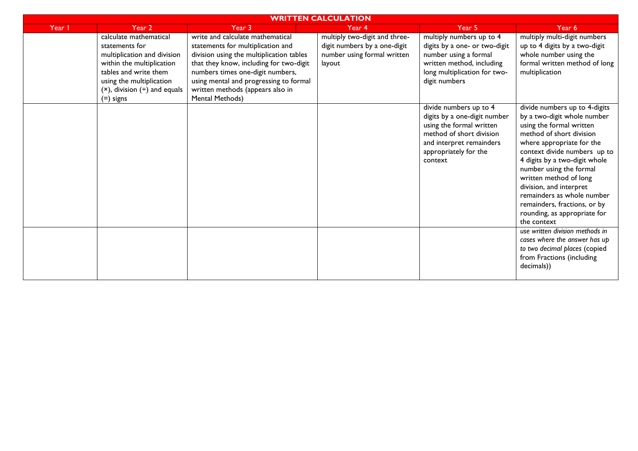| <b>WRITTEN CALCULATION</b> |                                                                                                                                                                                                                  |                                                                                                                                                                                                                                                                                                   |                                                                                                        |                                                                                                                                                                                |                                                                                                                                                                                                                                                                                                                                                                                                                 |  |
|----------------------------|------------------------------------------------------------------------------------------------------------------------------------------------------------------------------------------------------------------|---------------------------------------------------------------------------------------------------------------------------------------------------------------------------------------------------------------------------------------------------------------------------------------------------|--------------------------------------------------------------------------------------------------------|--------------------------------------------------------------------------------------------------------------------------------------------------------------------------------|-----------------------------------------------------------------------------------------------------------------------------------------------------------------------------------------------------------------------------------------------------------------------------------------------------------------------------------------------------------------------------------------------------------------|--|
| Year I                     | Year 2                                                                                                                                                                                                           | Year 3                                                                                                                                                                                                                                                                                            | Year 4                                                                                                 | Year 5                                                                                                                                                                         | Year 6                                                                                                                                                                                                                                                                                                                                                                                                          |  |
|                            | calculate mathematical<br>statements for<br>multiplication and division<br>within the multiplication<br>tables and write them<br>using the multiplication<br>$(x)$ , division $(\div)$ and equals<br>$(=)$ signs | write and calculate mathematical<br>statements for multiplication and<br>division using the multiplication tables<br>that they know, including for two-digit<br>numbers times one-digit numbers,<br>using mental and progressing to formal<br>written methods (appears also in<br>Mental Methods) | multiply two-digit and three-<br>digit numbers by a one-digit<br>number using formal written<br>layout | multiply numbers up to 4<br>digits by a one- or two-digit<br>number using a formal<br>written method, including<br>long multiplication for two-<br>digit numbers               | multiply multi-digit numbers<br>up to 4 digits by a two-digit<br>whole number using the<br>formal written method of long<br>multiplication                                                                                                                                                                                                                                                                      |  |
|                            |                                                                                                                                                                                                                  |                                                                                                                                                                                                                                                                                                   |                                                                                                        | divide numbers up to 4<br>digits by a one-digit number<br>using the formal written<br>method of short division<br>and interpret remainders<br>appropriately for the<br>context | divide numbers up to 4-digits<br>by a two-digit whole number<br>using the formal written<br>method of short division<br>where appropriate for the<br>context divide numbers up to<br>4 digits by a two-digit whole<br>number using the formal<br>written method of long<br>division, and interpret<br>remainders as whole number<br>remainders, fractions, or by<br>rounding, as appropriate for<br>the context |  |
|                            |                                                                                                                                                                                                                  |                                                                                                                                                                                                                                                                                                   |                                                                                                        |                                                                                                                                                                                | use written division methods in<br>cases where the answer has up<br>to two decimal places (copied<br>from Fractions (including<br>decimals))                                                                                                                                                                                                                                                                    |  |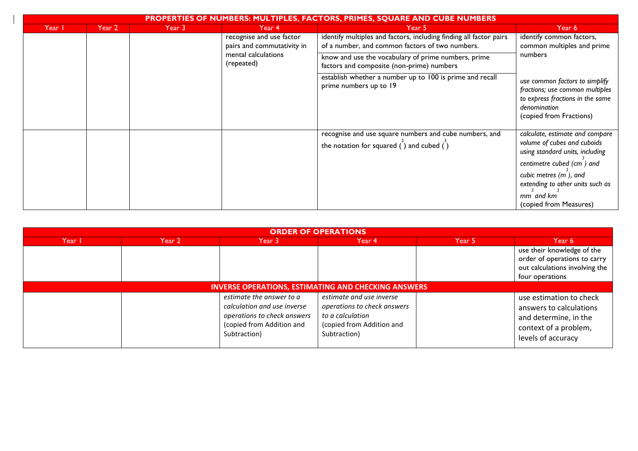| <b>PROPERTIES OF NUMBERS: MULTIPLES, FACTORS, PRIMES, SQUARE AND CUBE NUMBERS</b> |        |                                                                                             |                                                                                                                                                                                                                           |                                                                                                                            |                                                                                                                                                  |  |
|-----------------------------------------------------------------------------------|--------|---------------------------------------------------------------------------------------------|---------------------------------------------------------------------------------------------------------------------------------------------------------------------------------------------------------------------------|----------------------------------------------------------------------------------------------------------------------------|--------------------------------------------------------------------------------------------------------------------------------------------------|--|
| Year I                                                                            | Year 2 | Year 3                                                                                      | Year 4                                                                                                                                                                                                                    | Year 5                                                                                                                     | Year 6                                                                                                                                           |  |
|                                                                                   |        | recognise and use factor<br>pairs and commutativity in<br>mental calculations<br>(repeated) | identify multiples and factors, including finding all factor pairs<br>of a number, and common factors of two numbers.<br>know and use the vocabulary of prime numbers, prime<br>factors and composite (non-prime) numbers | identify common factors,<br>common multiples and prime<br>numbers                                                          |                                                                                                                                                  |  |
|                                                                                   |        |                                                                                             |                                                                                                                                                                                                                           |                                                                                                                            |                                                                                                                                                  |  |
|                                                                                   |        |                                                                                             |                                                                                                                                                                                                                           | establish whether a number up to 100 is prime and recall<br>prime numbers up to 19                                         | use common factors to simplify<br>fractions; use common multiples<br>to express fractions in the same<br>denomination<br>(copied from Fractions) |  |
|                                                                                   |        |                                                                                             |                                                                                                                                                                                                                           | recognise and use square numbers and cube numbers, and<br>the notation for squared $\binom{1}{1}$ and cubed $\binom{1}{1}$ | calculate, estimate and compare<br>volume of cubes and cuboids<br>using standard units, including                                                |  |
|                                                                                   |        |                                                                                             |                                                                                                                                                                                                                           |                                                                                                                            | centimetre cubed (cm ) and<br>cubic metres (m), and<br>extending to other units such as                                                          |  |
|                                                                                   |        |                                                                                             |                                                                                                                                                                                                                           |                                                                                                                            | mm and km<br>(copied from Measures)                                                                                                              |  |

| <b>ORDER OF OPERATIONS</b> |        |                                                                                                                                     |                                                                                                                          |        |                                                                                                                            |
|----------------------------|--------|-------------------------------------------------------------------------------------------------------------------------------------|--------------------------------------------------------------------------------------------------------------------------|--------|----------------------------------------------------------------------------------------------------------------------------|
| Year I                     | Year 2 | Year 3                                                                                                                              | Year 4                                                                                                                   | Year 5 | Year 6                                                                                                                     |
|                            |        |                                                                                                                                     |                                                                                                                          |        | use their knowledge of the<br>order of operations to carry<br>out calculations involving the<br>four operations            |
|                            |        | <b>INVERSE OPERATIONS, ESTIMATING AND CHECKING ANSWERS</b>                                                                          |                                                                                                                          |        |                                                                                                                            |
|                            |        | estimate the answer to a<br>calculation and use inverse<br>operations to check answers<br>(copied from Addition and<br>Subtraction) | estimate and use inverse<br>operations to check answers<br>to a calculation<br>(copied from Addition and<br>Subtraction) |        | use estimation to check<br>answers to calculations<br>and determine, in the<br>context of a problem,<br>levels of accuracy |